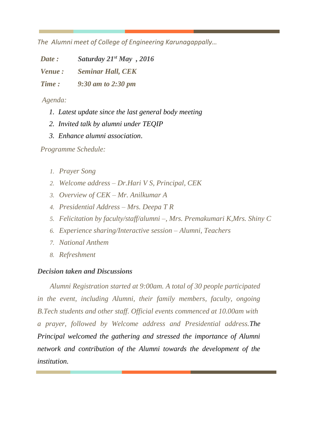*The Alumni meet of College of Engineering Karunagappally…* 

*Date : Saturday 21st May , 2016*

*Venue : Seminar Hall, CEK* 

*Time : 9:30 am to 2:30 pm*

*Agenda:*

- *1. Latest update since the last general body meeting*
- *2. Invited talk by alumni under TEQIP*
- *3. Enhance alumni association*.

*Programme Schedule:*

- *1. Prayer Song*
- *2. Welcome address – Dr.Hari V S, Principal, CEK*
- *3. Overview of CEK – Mr. Anilkumar A*
- *4. Presidential Address – Mrs. Deepa T R*
- *5. Felicitation by faculty/staff/alumni –, Mrs. Premakumari K,Mrs. Shiny C*
- *6. Experience sharing/Interactive session – Alumni, Teachers*
- *7. National Anthem*
- *8. Refreshment*

## *Decision taken and Discussions*

*Alumni Registration started at 9:00am. A total of 30 people participated in the event, including Alumni, their family members, faculty, ongoing B.Tech students and other staff. Official events commenced at 10.00am with a prayer, followed by Welcome address and Presidential address.The Principal welcomed the gathering and stressed the importance of Alumni network and contribution of the Alumni towards the development of the institution.*